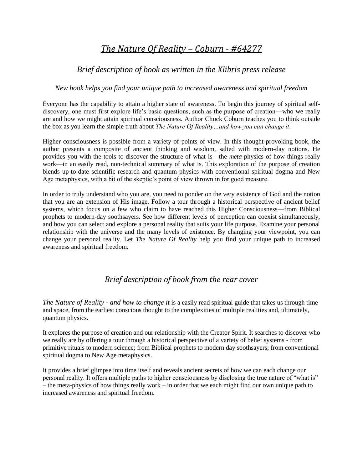# *The Nature Of Reality – Coburn - #64277*

# *Brief description of book as written in the Xlibris press release*

#### *New book helps you find your unique path to increased awareness and spiritual freedom*

Everyone has the capability to attain a higher state of awareness. To begin this journey of spiritual selfdiscovery, one must first explore life's basic questions, such as the purpose of creation—who we really are and how we might attain spiritual consciousness. Author Chuck Coburn teaches you to think outside the box as you learn the simple truth about *The Nature Of Reality…and how you can change it*.

Higher consciousness is possible from a variety of points of view. In this thought-provoking book, the author presents a composite of ancient thinking and wisdom, salted with modern-day notions. He provides you with the tools to discover the structure of what is—the *meta*-physics of how things really work—in an easily read, non-technical summary of what is. This exploration of the purpose of creation blends up-to-date scientific research and quantum physics with conventional spiritual dogma and New Age metaphysics, with a bit of the skeptic's point of view thrown in for good measure.

In order to truly understand who you are, you need to ponder on the very existence of God and the notion that you are an extension of His image. Follow a tour through a historical perspective of ancient belief systems, which focus on a few who claim to have reached this Higher Consciousness—from Biblical prophets to modern-day soothsayers. See how different levels of perception can coexist simultaneously, and how you can select and explore a personal reality that suits your life purpose. Examine your personal relationship with the universe and the many levels of existence. By changing your viewpoint, you can change your personal reality. Let *The Nature Of Reality* help you find your unique path to increased awareness and spiritual freedom.

### *Brief description of book from the rear cover*

*The Nature of Reality - and how to change it* is a easily read spiritual guide that takes us through time and space, from the earliest conscious thought to the complexities of multiple realities and, ultimately, quantum physics.

It explores the purpose of creation and our relationship with the Creator Spirit. It searches to discover who we really are by offering a tour through a historical perspective of a variety of belief systems - from primitive rituals to modern science; from Biblical prophets to modern day soothsayers; from conventional spiritual dogma to New Age metaphysics.

It provides a brief glimpse into time itself and reveals ancient secrets of how we can each change our personal reality. It offers multiple paths to higher consciousness by disclosing the true nature of "what is" – the meta-physics of how things really work – in order that we each might find our own unique path to increased awareness and spiritual freedom.